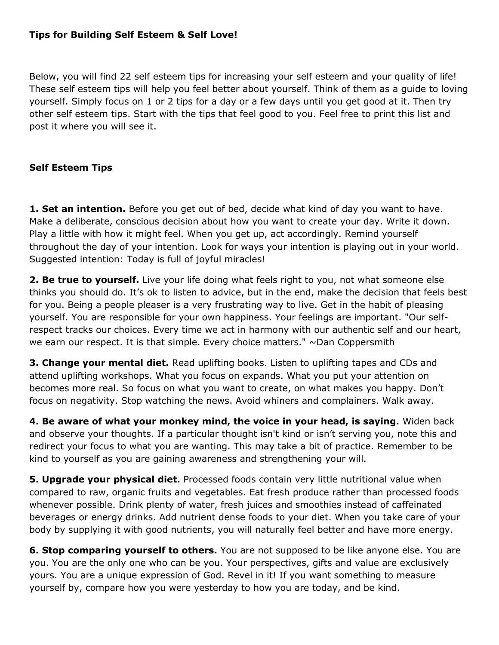## **Tips for Building Self Esteem & Self Love!**

Below, you will find 22 self esteem tips for increasing your self esteem and your quality of life! These self esteem tips will help you feel better about yourself. Think of them as a guide to loving yourself. Simply focus on 1 or 2 tips for a day or a few days until you get good at it. Then try other self esteem tips. Start with the tips that feel good to you. Feel free to print this list and post it where you will see it.

## **Self Esteem Tips**

**1. Set an intention.** Before you get out of bed, decide what kind of day you want to have. Make a deliberate, conscious decision about how you want to create your day. Write it down. Play a little with how it might feel. When you get up, act accordingly. Remind yourself throughout the day of your intention. Look for ways your intention is playing out in your world. Suggested intention: Today is full of joyful miracles!

**2. Be true to yourself.** Live your life doing what feels right to you, not what someone else thinks you should do. It's ok to listen to advice, but in the end, make the decision that feels best for you. Being a people pleaser is a very frustrating way to live. Get in the habit of pleasing yourself. You are responsible for your own happiness. Your feelings are important. "Our selfrespect tracks our choices. Every time we act in harmony with our authentic self and our heart, we earn our respect. It is that simple. Every choice matters." ~Dan Coppersmith

**3. Change your mental diet.** Read uplifting books. Listen to uplifting tapes and CDs and attend uplifting workshops. What you focus on expands. What you put your attention on becomes more real. So focus on what you want to create, on what makes you happy. Don't focus on negativity. Stop watching the news. Avoid whiners and complainers. Walk away.

**4. Be aware of what your monkey mind, the voice in your head, is saying.** Widen back and observe your thoughts. If a particular thought isn't kind or isn't serving you, note this and redirect your focus to what you are wanting. This may take a bit of practice. Remember to be kind to yourself as you are gaining awareness and strengthening your will.

**5. Upgrade your physical diet.** Processed foods contain very little nutritional value when compared to raw, organic fruits and vegetables. Eat fresh produce rather than processed foods whenever possible. Drink plenty of water, fresh juices and smoothies instead of caffeinated beverages or energy drinks. Add nutrient dense foods to your diet. When you take care of your body by supplying it with good nutrients, you will naturally feel better and have more energy.

**6. Stop comparing yourself to others.** You are not supposed to be like anyone else. You are you. You are the only one who can be you. Your perspectives, gifts and value are exclusively yours. You are a unique expression of God. Revel in it! If you want something to measure yourself by, compare how you were yesterday to how you are today, and be kind.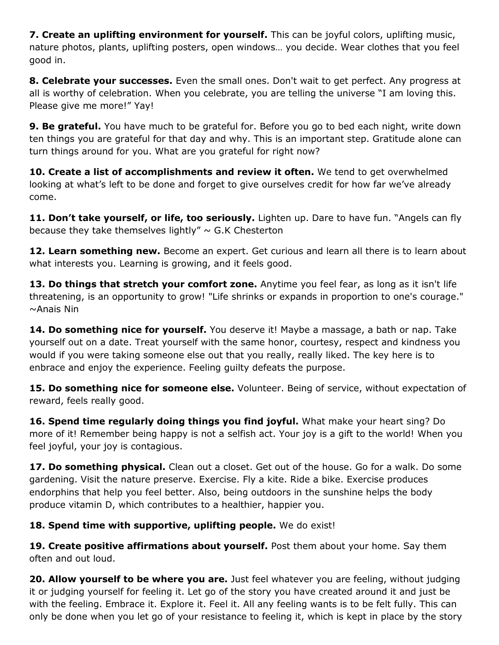**7. Create an uplifting environment for yourself.** This can be joyful colors, uplifting music, nature photos, plants, uplifting posters, open windows… you decide. Wear clothes that you feel good in.

**8. Celebrate your successes.** Even the small ones. Don't wait to get perfect. Any progress at all is worthy of celebration. When you celebrate, you are telling the universe "I am loving this. Please give me more!" Yay!

**9. Be grateful.** You have much to be grateful for. Before you go to bed each night, write down ten things you are grateful for that day and why. This is an important step. Gratitude alone can turn things around for you. What are you grateful for right now?

**10. Create a list of accomplishments and review it often.** We tend to get overwhelmed looking at what's left to be done and forget to give ourselves credit for how far we've already come.

**11. Don't take yourself, or life, too seriously.** Lighten up. Dare to have fun. "Angels can fly because they take themselves lightly"  $\sim$  G.K Chesterton

12. Learn something new. Become an expert. Get curious and learn all there is to learn about what interests you. Learning is growing, and it feels good.

**13. Do things that stretch your comfort zone.** Anytime you feel fear, as long as it isn't life threatening, is an opportunity to grow! "Life shrinks or expands in proportion to one's courage." ~Anais Nin

**14. Do something nice for yourself.** You deserve it! Maybe a massage, a bath or nap. Take yourself out on a date. Treat yourself with the same honor, courtesy, respect and kindness you would if you were taking someone else out that you really, really liked. The key here is to enbrace and enjoy the experience. Feeling guilty defeats the purpose.

**15. Do something nice for someone else.** Volunteer. Being of service, without expectation of reward, feels really good.

**16. Spend time regularly doing things you find joyful.** What make your heart sing? Do more of it! Remember being happy is not a selfish act. Your joy is a gift to the world! When you feel joyful, your joy is contagious.

**17. Do something physical.** Clean out a closet. Get out of the house. Go for a walk. Do some gardening. Visit the nature preserve. Exercise. Fly a kite. Ride a bike. Exercise produces endorphins that help you feel better. Also, being outdoors in the sunshine helps the body produce vitamin D, which contributes to a healthier, happier you.

## **18. Spend time with supportive, uplifting people.** We do exist!

**19. Create positive affirmations about yourself.** Post them about your home. Say them often and out loud.

**20. Allow yourself to be where you are.** Just feel whatever you are feeling, without judging it or judging yourself for feeling it. Let go of the story you have created around it and just be with the feeling. Embrace it. Explore it. Feel it. All any feeling wants is to be felt fully. This can only be done when you let go of your resistance to feeling it, which is kept in place by the story